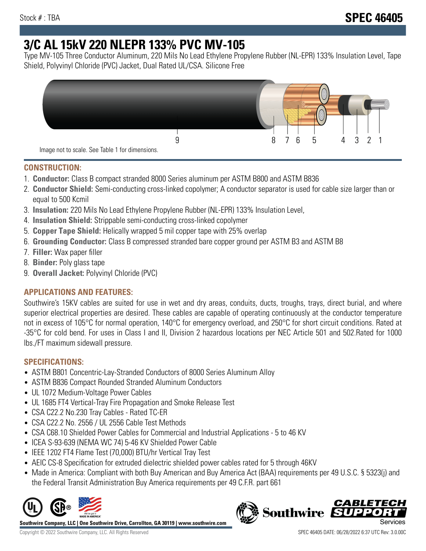# **3/C AL 15kV 220 NLEPR 133% PVC MV-105**

Type MV-105 Three Conductor Aluminum, 220 Mils No Lead Ethylene Propylene Rubber (NL-EPR) 133% Insulation Level, Tape Shield, Polyvinyl Chloride (PVC) Jacket, Dual Rated UL/CSA. Silicone Free



#### **CONSTRUCTION:**

- 1. **Conductor:** Class B compact stranded 8000 Series aluminum per ASTM B800 and ASTM B836
- 2. **Conductor Shield:** Semi-conducting cross-linked copolymer; A conductor separator is used for cable size larger than or equal to 500 Kcmil
- 3. **Insulation:** 220 Mils No Lead Ethylene Propylene Rubber (NL-EPR) 133% Insulation Level,
- 4. **Insulation Shield:** Strippable semi-conducting cross-linked copolymer
- 5. **Copper Tape Shield:** Helically wrapped 5 mil copper tape with 25% overlap
- 6. **Grounding Conductor:** Class B compressed stranded bare copper ground per ASTM B3 and ASTM B8
- 7. **Filler:** Wax paper filler
- 8. **Binder:** Poly glass tape
- 9. **Overall Jacket:** Polyvinyl Chloride (PVC)

# **APPLICATIONS AND FEATURES:**

Southwire's 15KV cables are suited for use in wet and dry areas, conduits, ducts, troughs, trays, direct burial, and where superior electrical properties are desired. These cables are capable of operating continuously at the conductor temperature not in excess of 105°C for normal operation, 140°C for emergency overload, and 250°C for short circuit conditions. Rated at -35°C for cold bend. For uses in Class I and II, Division 2 hazardous locations per NEC Article 501 and 502.Rated for 1000 lbs./FT maximum sidewall pressure.

# **SPECIFICATIONS:**

- ASTM B801 Concentric-Lay-Stranded Conductors of 8000 Series Aluminum Alloy
- ASTM B836 Compact Rounded Stranded Aluminum Conductors
- UL 1072 Medium-Voltage Power Cables
- UL 1685 FT4 Vertical-Tray Fire Propagation and Smoke Release Test
- CSA C22.2 No.230 Tray Cables Rated TC-ER
- CSA C22.2 No. 2556 / UL 2556 Cable Test Methods
- CSA C68.10 Shielded Power Cables for Commercial and Industrial Applications 5 to 46 KV
- ICEA S-93-639 (NEMA WC 74) 5-46 KV Shielded Power Cable
- IEEE 1202 FT4 Flame Test (70,000) BTU/hr Vertical Tray Test
- AEIC CS-8 Specification for extruded dielectric shielded power cables rated for 5 through 46KV
- Made in America: Compliant with both Buy American and Buy America Act (BAA) requirements per 49 U.S.C. § 5323(j) and the Federal Transit Administration Buy America requirements per 49 C.F.R. part 661



**Southwire Company, LLC | One Southwire Drive, Carrollton, GA 30119 | www.southwire.com**